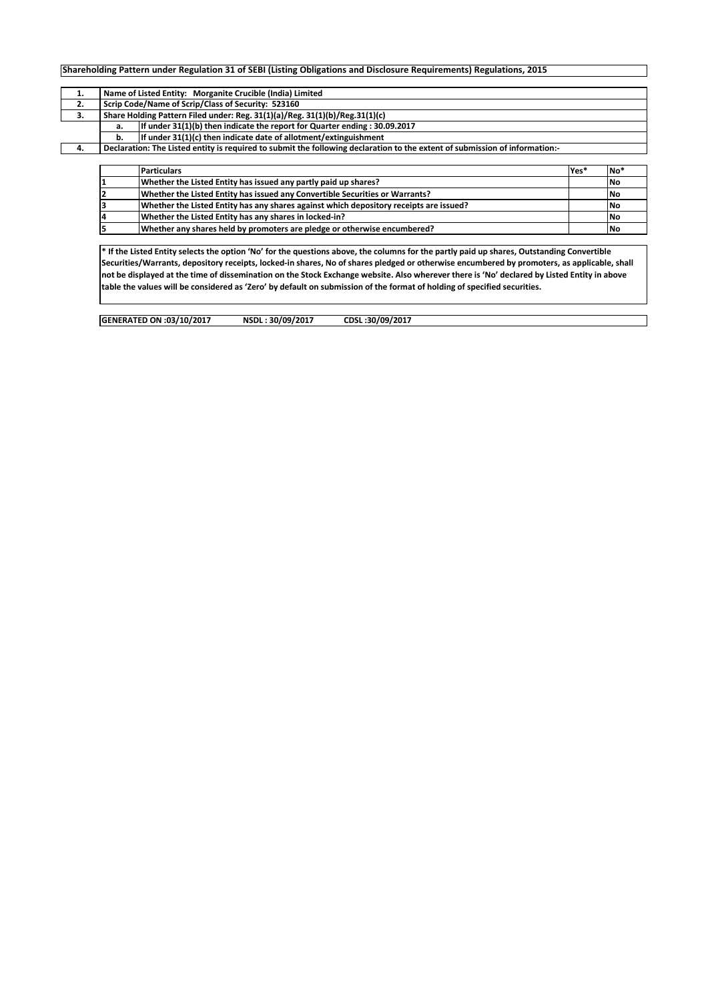|     |                                                    | Shareholding Pattern under Regulation 31 of SEBI (Listing Obligations and Disclosure Requirements) Regulations, 2015        |  |  |  |  |  |  |  |  |  |
|-----|----------------------------------------------------|-----------------------------------------------------------------------------------------------------------------------------|--|--|--|--|--|--|--|--|--|
|     |                                                    |                                                                                                                             |  |  |  |  |  |  |  |  |  |
| ı.  |                                                    | Name of Listed Entity: Morganite Crucible (India) Limited                                                                   |  |  |  |  |  |  |  |  |  |
| 2.  | Scrip Code/Name of Scrip/Class of Security: 523160 |                                                                                                                             |  |  |  |  |  |  |  |  |  |
| 3.  |                                                    | Share Holding Pattern Filed under: Reg. 31(1)(a)/Reg. 31(1)(b)/Reg.31(1)(c)                                                 |  |  |  |  |  |  |  |  |  |
|     | a.                                                 | If under 31(1)(b) then indicate the report for Quarter ending : 30.09.2017                                                  |  |  |  |  |  |  |  |  |  |
|     | b.                                                 | If under 31(1)(c) then indicate date of allotment/extinguishment                                                            |  |  |  |  |  |  |  |  |  |
| -4. |                                                    | Declaration: The Listed entity is required to submit the following declaration to the extent of submission of information:- |  |  |  |  |  |  |  |  |  |
|     |                                                    |                                                                                                                             |  |  |  |  |  |  |  |  |  |

|    | <b>Particulars</b>                                                                     | Yes* | No <sup>*</sup> |
|----|----------------------------------------------------------------------------------------|------|-----------------|
|    | Whether the Listed Entity has issued any partly paid up shares?                        |      | <b>INo</b>      |
|    | Whether the Listed Entity has issued any Convertible Securities or Warrants?           |      | <b>No</b>       |
|    | Whether the Listed Entity has any shares against which depository receipts are issued? |      | <b>No</b>       |
| 4  | Whether the Listed Entity has any shares in locked-in?                                 |      | <b>INo</b>      |
| 5. | Whether any shares held by promoters are pledge or otherwise encumbered?               |      | <b>No</b>       |

**\* If the Listed Entity selects the option 'No' for the questions above, the columns for the partly paid up shares, Outstanding Convertible Securities/Warrants, depository receipts, locked-in shares, No of shares pledged or otherwise encumbered by promoters, as applicable, shall not be displayed at the time of dissemination on the Stock Exchange website. Also wherever there is 'No' declared by Listed Entity in above table the values will be considered as 'Zero' by default on submission of the format of holding of specified securities.**

**GENERATED ON :03/10/2017 NSDL : 30/09/2017 CDSL :30/09/2017**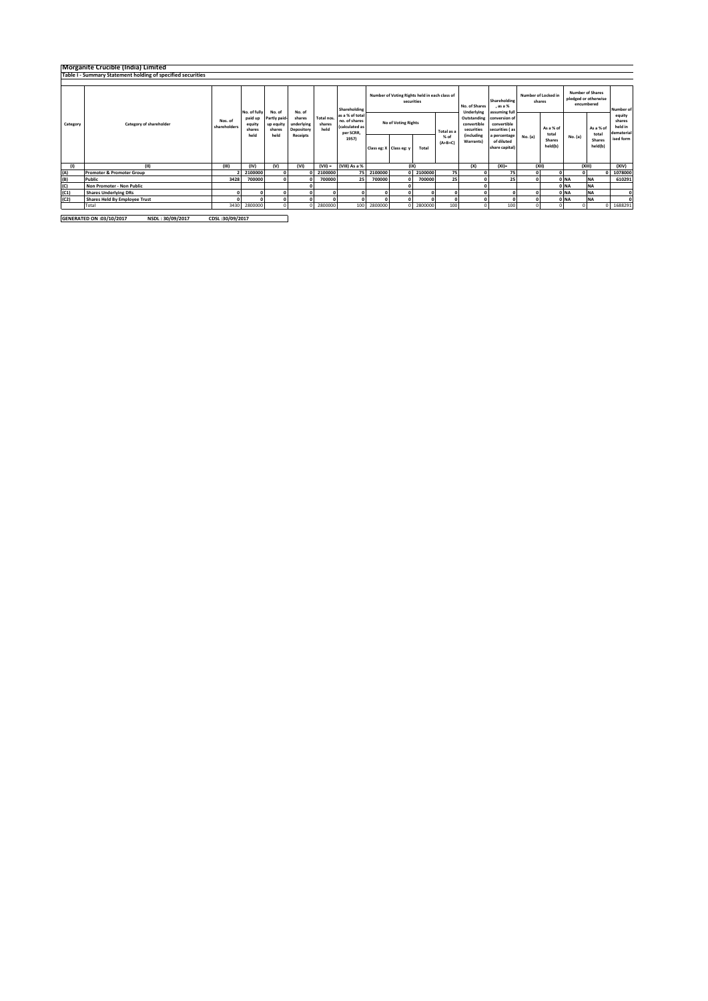|          |                                                             | Morganite Crucible (India) Limited |                                     |                                                       |                                                          |                              |                                                                                          |                                                             |                         |         |                   |                                                        |                                                |                               |                    |                                                               |                    |                                           |
|----------|-------------------------------------------------------------|------------------------------------|-------------------------------------|-------------------------------------------------------|----------------------------------------------------------|------------------------------|------------------------------------------------------------------------------------------|-------------------------------------------------------------|-------------------------|---------|-------------------|--------------------------------------------------------|------------------------------------------------|-------------------------------|--------------------|---------------------------------------------------------------|--------------------|-------------------------------------------|
|          | Table I - Summary Statement holding of specified securities |                                    |                                     |                                                       |                                                          |                              |                                                                                          |                                                             |                         |         |                   |                                                        |                                                |                               |                    |                                                               |                    |                                           |
|          |                                                             |                                    |                                     |                                                       |                                                          |                              |                                                                                          |                                                             |                         |         |                   |                                                        |                                                |                               |                    |                                                               |                    |                                           |
| Category |                                                             |                                    | No. of fully                        | No. of<br>Partly paid-<br>up equity<br>shares<br>held | No. of<br>shares<br>underlying<br>Depository<br>Receipts | Total nos.<br>shares<br>held | Shareholding<br>as a % of total<br>no, of shares<br>(calculated as<br>per SCRR,<br>1957) | Number of Voting Rights held in each class of<br>securities |                         |         |                   | No. of Shares<br>Underlying                            | Shareholding<br>. as a %<br>assuming full      | Number of Locked in<br>shares |                    | <b>Number of Shares</b><br>pledged or otherwise<br>encumbered | Number of          |                                           |
|          | Category of shareholder                                     | Nos. of<br>shareholders            | paid up<br>equity<br>shares<br>held |                                                       |                                                          |                              |                                                                                          | No of Voting Rights                                         |                         |         | Total as a        | Outstanding<br>convertible<br>securities<br>(including | conversion of<br>convertible<br>securities (as |                               | As a % of<br>total |                                                               | As a % of<br>total | equity<br>shares<br>held in<br>dematerial |
|          |                                                             |                                    |                                     |                                                       |                                                          |                              |                                                                                          |                                                             | Class eg: X Class eg: y | Total   | % of<br>$(A+B+C)$ | Warrants)                                              | a percentage<br>of diluted<br>share capital)   | No. (a)                       | Shares<br>held(b)  | No. (a)                                                       | Shares<br>held(b)  | ised form                                 |
| (1)      | (II)                                                        | (III)                              | (IV)                                | (V)                                                   | (VI)                                                     | $(VII) =$                    | (VIII) As a %                                                                            |                                                             | (IX)                    |         |                   | (X)                                                    | $(XI)$ =                                       | (XII)                         |                    |                                                               | (XIII)             | (XIV)                                     |
| (A)      | <b>Promoter &amp; Promoter Group</b>                        |                                    | 2100000                             |                                                       |                                                          | 2100000                      | 75                                                                                       | 2100000                                                     | n                       | 2100000 | 75                |                                                        | 75                                             | $\sqrt{2}$                    |                    |                                                               |                    | 1078000                                   |
| (B)      | Public                                                      | 3428                               | 700000                              |                                                       |                                                          | 700000                       | 25                                                                                       | 700000                                                      |                         | 700000  | 25                |                                                        | 25                                             |                               |                    | 0 NA                                                          | <b>NA</b>          | 610291                                    |
| (C)      | Non Promoter - Non Public                                   |                                    |                                     |                                                       |                                                          |                              |                                                                                          |                                                             |                         |         |                   |                                                        |                                                |                               |                    | 0 NA                                                          | <b>NA</b>          |                                           |
| (C1)     | <b>Shares Underlying DRs</b>                                |                                    |                                     |                                                       |                                                          |                              |                                                                                          |                                                             |                         |         |                   |                                                        |                                                |                               |                    | 0 NA                                                          | <b>NA</b>          | $\Omega$                                  |
| (C2)     | <b>Shares Held By Employee Trust</b>                        |                                    |                                     |                                                       |                                                          |                              |                                                                                          |                                                             |                         |         |                   |                                                        |                                                |                               |                    | 0 NA                                                          | <b>NA</b>          | $\Omega$                                  |
|          | Total                                                       | 3430                               | 2800000                             |                                                       |                                                          | 2800000                      | 1001                                                                                     | 2800000                                                     | $\Omega$                | 2800000 | 100               |                                                        | 100                                            |                               |                    |                                                               |                    | 1688291                                   |

**GENERATED ON :03/10/2017 NSDL : 30/09/2017 CDSL :30/09/2017**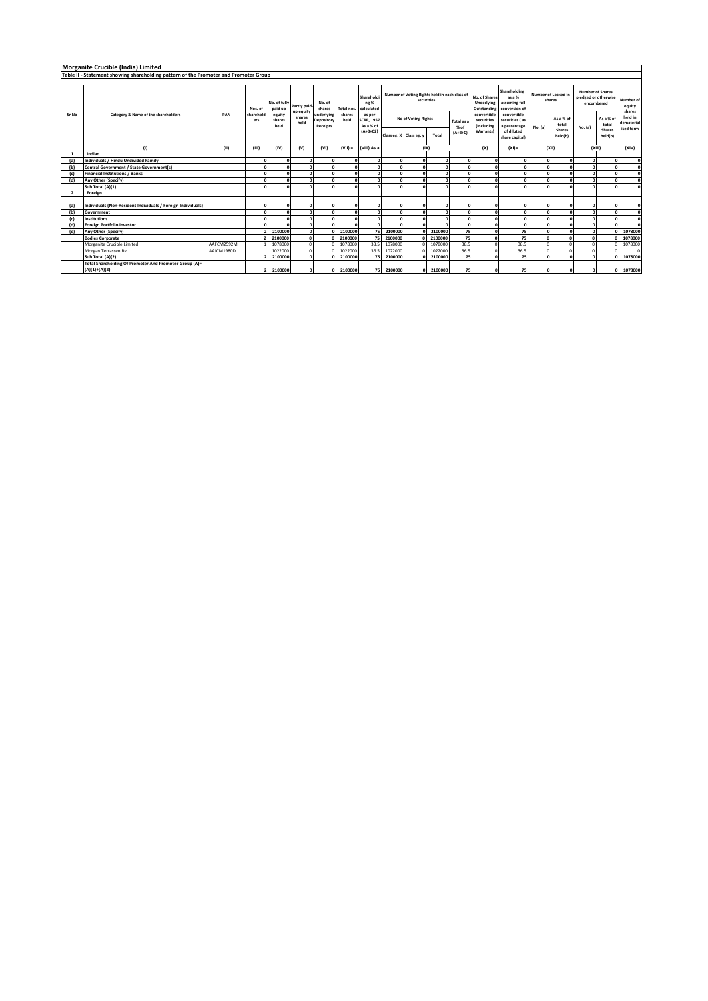|                         | Morganite Crucible (India) Limited                                                   |            |                             |                                      |                |                                      |                              |                                                                                            |                     |                                               |                    |                                         |                                               |                                                          |                               |                   |                                       |                       |                               |        |       |
|-------------------------|--------------------------------------------------------------------------------------|------------|-----------------------------|--------------------------------------|----------------|--------------------------------------|------------------------------|--------------------------------------------------------------------------------------------|---------------------|-----------------------------------------------|--------------------|-----------------------------------------|-----------------------------------------------|----------------------------------------------------------|-------------------------------|-------------------|---------------------------------------|-----------------------|-------------------------------|--------|-------|
|                         | Table II - Statement showing shareholding pattern of the Promoter and Promoter Group |            |                             |                                      |                |                                      |                              |                                                                                            |                     |                                               |                    |                                         |                                               |                                                          |                               |                   |                                       |                       |                               |        |       |
|                         |                                                                                      |            |                             |                                      |                |                                      |                              |                                                                                            |                     |                                               |                    |                                         |                                               |                                                          |                               |                   |                                       |                       |                               |        |       |
| Sr No                   |                                                                                      |            | Nos. of<br>sharehold<br>ers | No. of fully partly paid-<br>paid up | up equity      | No. of<br>shares                     | Total nos.<br>shares<br>held | Shareholdi<br>ng %<br>calculated<br>as per<br><b>SCRR, 1957</b><br>As a % of<br>$(A+B+C2)$ |                     | Number of Voting Rights held in each class of | securities         |                                         | No. of Shares<br>Underlying<br>Outstanding    | Shareholding<br>as a %<br>assuming full<br>conversion of | Number of Locked in<br>shares |                   | <b>Number of Shares</b><br>encumbered | pledged or otherwise  | Number of<br>equity<br>shares |        |       |
|                         | Category & Name of the shareholders                                                  | PAN        |                             | equity<br>shares<br>held             | shares<br>held | underlying<br>Depository<br>Receipts |                              |                                                                                            | No of Voting Rights |                                               | Total as a<br>% of | convertible<br>securities<br>(including | convertible<br>securities (as<br>a percentage | No. (a)                                                  | As a % of<br>total            |                   | As a % of<br>total                    | held in<br>dematerial |                               |        |       |
|                         |                                                                                      |            |                             |                                      |                |                                      |                              |                                                                                            |                     | Class eg: X Class eg: y                       | Total              | $(A+B+C)$                               | Warrants)                                     | of diluted<br>share capital)                             |                               | Shares<br>held(b) | No. (a)                               | Shares<br>held(b)     | ised form                     |        |       |
|                         | (1)                                                                                  | (II)       | (III)                       | (IV)                                 | (V)            | (VI)                                 | $(VIII) =$                   | (VIII) As a                                                                                |                     |                                               | (IX)               |                                         | (X)                                           | $(XI) =$                                                 |                               | (X  )             |                                       |                       |                               | (XIII) | (XIV) |
|                         | Indian                                                                               |            |                             |                                      |                |                                      |                              |                                                                                            |                     |                                               |                    |                                         |                                               |                                                          |                               |                   |                                       |                       |                               |        |       |
| (a)                     | Individuals / Hindu Undivided Family                                                 |            |                             |                                      | n              | $\sqrt{2}$                           | $\mathbf 0$                  |                                                                                            |                     |                                               |                    |                                         | $\mathbf{r}$                                  |                                                          |                               | $\sqrt{2}$        | $\sim$                                | $\sqrt{2}$            |                               |        |       |
| (b)                     | Central Government / State Government(s)                                             |            |                             |                                      |                |                                      | $\mathbf 0$                  |                                                                                            |                     |                                               |                    |                                         | $\mathbf{r}$                                  |                                                          |                               |                   |                                       |                       |                               |        |       |
| (c)                     | <b>Financial Institutions / Banks</b>                                                |            |                             |                                      | n              |                                      | 0                            | $\sqrt{2}$                                                                                 |                     |                                               |                    |                                         | $\mathbf{r}$                                  |                                                          |                               | $\sqrt{2}$        |                                       | $\Omega$              | $\sqrt{2}$                    |        |       |
| (d)                     | Any Other (Specify)                                                                  |            |                             |                                      |                |                                      | $\mathbf 0$                  |                                                                                            |                     |                                               |                    |                                         |                                               |                                                          |                               |                   |                                       | $\Omega$              |                               |        |       |
|                         | Sub Total (A)(1)                                                                     |            |                             |                                      | n              |                                      | 0                            |                                                                                            |                     |                                               |                    |                                         | $\mathbf{r}$                                  |                                                          |                               | n                 |                                       | $\mathbf{r}$          |                               |        |       |
| $\overline{\mathbf{z}}$ | Foreign                                                                              |            |                             |                                      |                |                                      |                              |                                                                                            |                     |                                               |                    |                                         |                                               |                                                          |                               |                   |                                       |                       |                               |        |       |
| (a)                     | Individuals (Non-Resident Individuals / Foreign Individuals)                         |            |                             |                                      |                |                                      | $\Omega$                     | $\Omega$                                                                                   |                     |                                               |                    |                                         |                                               |                                                          |                               |                   |                                       | $\Omega$              |                               |        |       |
| (b)                     | Government                                                                           |            |                             |                                      |                |                                      | $\mathbf 0$                  |                                                                                            |                     |                                               |                    |                                         | $\Omega$                                      |                                                          |                               |                   |                                       | $\Omega$              |                               |        |       |
| (c)                     | <b>Institutions</b>                                                                  |            |                             |                                      | $\Omega$       |                                      | $\Omega$                     | $\sqrt{2}$                                                                                 |                     |                                               |                    |                                         | $\mathbf{r}$                                  |                                                          |                               | $\sqrt{2}$        |                                       | $\Omega$              | $\sqrt{2}$                    |        |       |
| (d)                     | <b>Foreign Portfolio Investor</b>                                                    |            |                             |                                      | n              |                                      | $\mathbf{r}$                 |                                                                                            |                     |                                               |                    | n                                       | $\Omega$                                      |                                                          |                               |                   |                                       | $\mathbf{r}$          |                               |        |       |
| (e)                     | Any Other (Specify)                                                                  |            |                             | 2100000                              | $\Omega$       |                                      | 2100000                      | 75                                                                                         | 2100000             |                                               | 2100000            | 75                                      | $\Omega$                                      | 75                                                       |                               |                   |                                       |                       | 1078000                       |        |       |
|                         | <b>Bodies Corporate</b>                                                              |            |                             | 2100000                              | $\Omega$       |                                      | 2100000                      | 75                                                                                         | 2100000             |                                               | 2100000            | 75                                      | $\Omega$                                      | 75                                                       |                               | $\mathbf{r}$      |                                       |                       | 1078000                       |        |       |
|                         | Morganite Crucible Limited                                                           | AAFCM2592M |                             | 1078000                              | $\Omega$       |                                      | 1078000                      | 38.5                                                                                       | 1078000             |                                               | 1078000            | 38.5                                    | $\Omega$                                      | 38.5                                                     |                               |                   |                                       |                       | 1078000                       |        |       |
|                         | Morgan Terrassen By                                                                  | AAJCM1980D |                             | 1022000                              | $\Omega$       |                                      | 1022000                      | 36.5                                                                                       | 1022000             |                                               | 1022000            | 36.5                                    | $\Omega$                                      | 36.5                                                     |                               |                   |                                       | $\Omega$              |                               |        |       |
|                         | Sub Total (A)(2)                                                                     |            |                             | 2100000                              |                |                                      | 2100000                      | 75                                                                                         | 2100000             |                                               | 2100000            | 75                                      |                                               | 75                                                       |                               |                   |                                       | n                     | 1078000                       |        |       |
|                         | Total Shareholding Of Promoter And Promoter Group (A)=<br>$(A)(1)+(A)(2)$            |            |                             | 2100000                              |                | $\Omega$                             | 2100000                      | 75                                                                                         | 2100000             |                                               | 2100000            | 75                                      |                                               | 75                                                       | $\Omega$                      | $\sqrt{2}$        |                                       | $\mathbf{0}$          | 1078000                       |        |       |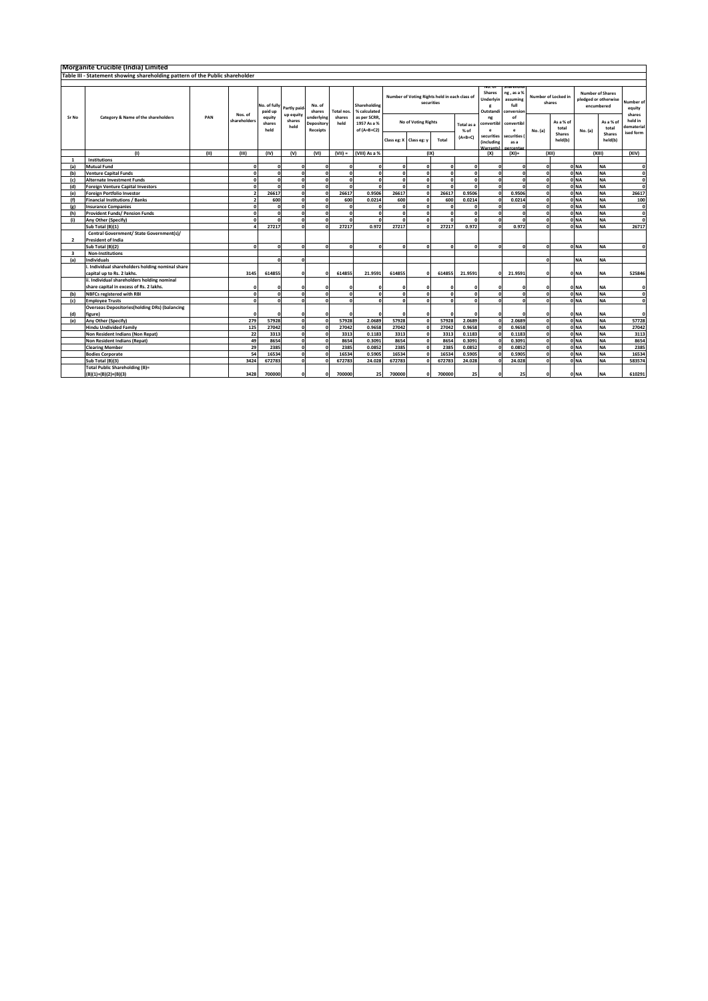|                | Morganite Crucible (India) Limited                                           |                                                                                                                                                                                                  |              |                          |                |                                                    |                |                                            |                                                                 |                                                           |                               |                                 |                                                                 |                                             |                               |                                                |                 |                                                |                                    |
|----------------|------------------------------------------------------------------------------|--------------------------------------------------------------------------------------------------------------------------------------------------------------------------------------------------|--------------|--------------------------|----------------|----------------------------------------------------|----------------|--------------------------------------------|-----------------------------------------------------------------|-----------------------------------------------------------|-------------------------------|---------------------------------|-----------------------------------------------------------------|---------------------------------------------|-------------------------------|------------------------------------------------|-----------------|------------------------------------------------|------------------------------------|
|                | Table III - Statement showing shareholding pattern of the Public shareholder |                                                                                                                                                                                                  |              |                          |                |                                                    |                |                                            |                                                                 |                                                           |                               |                                 |                                                                 |                                             |                               |                                                |                 |                                                |                                    |
|                |                                                                              |                                                                                                                                                                                                  |              |                          |                |                                                    |                |                                            |                                                                 |                                                           |                               |                                 |                                                                 |                                             |                               |                                                |                 |                                                |                                    |
|                |                                                                              | Number of Voting Rights held in each class of<br>securities<br>No. of fully<br>Shareholding<br>No. of<br>Partly paid-<br>% calculated<br>paid up<br>shares<br>Total nos.<br>up equity<br>Nos. of |              |                          |                |                                                    |                |                                            | NO. UI<br><b>Shares</b><br>Underlyin<br>$\epsilon$<br>Outstandi | snarenoid<br>ng, as a %<br>assuming<br>full<br>conversion | Number of Locked in<br>shares |                                 | <b>Number of Shares</b><br>pledged or otherwise<br>encumbered   |                                             | Number of<br>equity<br>shares |                                                |                 |                                                |                                    |
| Sr No          | Category & Name of the shareholders                                          | PAN                                                                                                                                                                                              | shareholders | equity<br>shares<br>held | shares<br>held | <b>Inderlying</b><br>Depository<br><b>Receipts</b> | shares<br>held | as per SCRR.<br>1957 As a %<br>of (A+B+C2) | Class eg: X Class eg: y                                         | No of Voting Rights                                       | Total                         | Total as a<br>% of<br>$(A+B+C)$ | ng<br>convertibl<br>e<br>securities<br><i><b>lincluding</b></i> | of<br>convertibl<br>e<br>securities<br>as a | No. (a)                       | As a % of<br>total<br><b>Shares</b><br>held(b) | No. (a)         | As a % of<br>total<br><b>Shares</b><br>held(b) | held in<br>dematerial<br>ised form |
|                | (1)                                                                          | (11)                                                                                                                                                                                             | (III)        | (IV)                     | (V)            | (VI)                                               | $(VII) =$      | (VIII) As a %                              |                                                                 | (IX)                                                      |                               |                                 | larrant<br>(X)                                                  | $(XI)$ =                                    | (XII)                         |                                                |                 | (XIII)                                         | (XIV)                              |
| $\mathbf{1}$   | <b>Institutions</b>                                                          |                                                                                                                                                                                                  |              |                          |                |                                                    |                |                                            |                                                                 |                                                           |                               |                                 |                                                                 |                                             |                               |                                                |                 |                                                |                                    |
| (a)            | <b>Mutual Fund</b>                                                           |                                                                                                                                                                                                  | c            |                          | $\Omega$       | $\Omega$                                           |                | o                                          | $\mathbf{r}$                                                    |                                                           |                               | $\Omega$                        | $\mathbf{0}$                                                    |                                             | $\Omega$                      |                                                | 0 <sub>NA</sub> | <b>NA</b>                                      | $\mathbf{0}$                       |
| (b)            | <b>Venture Capital Funds</b>                                                 |                                                                                                                                                                                                  | $\mathbf{0}$ |                          | ΩI             | n                                                  |                | $\Omega$                                   | $\mathbf{r}$                                                    | n                                                         |                               | $\sqrt{2}$                      | $\Omega$                                                        |                                             | $\Omega$                      |                                                | ONA             | <b>NA</b>                                      | $\Omega$                           |
| (c)            | <b>Alternate Investment Funds</b>                                            |                                                                                                                                                                                                  | n            |                          | οl             | $\Omega$                                           |                | n                                          | $\mathbf{r}$                                                    | $\sqrt{2}$                                                |                               | n                               | $\mathbf{o}$                                                    |                                             | $\Omega$                      |                                                | ONA             | <b>NA</b>                                      | 0                                  |
| (d)            | <b>Foreign Venture Capital Investors</b>                                     |                                                                                                                                                                                                  | $\mathbf{0}$ | $\sqrt{2}$               | 0              | $\Omega$                                           |                | $\mathbf{r}$                               | $\sqrt{2}$                                                      |                                                           |                               | n                               | $\mathbf{o}$                                                    | $\Omega$                                    | $\Omega$                      |                                                | 0 <sub>NA</sub> | <b>NA</b>                                      | $\Omega$                           |
| (e)            | <b>Foreign Portfolio Investor</b>                                            |                                                                                                                                                                                                  |              | 26617                    | ΩI             | n                                                  | 26617          | 0.9506                                     | 26617                                                           |                                                           | 26617                         | 0.9506                          | $\Omega$                                                        | 0.9506                                      | $\Omega$                      |                                                | ONA             | <b>NA</b>                                      | 26617                              |
| (f)            | <b>Financial Institutions / Banks</b>                                        |                                                                                                                                                                                                  |              | 600                      | <sup>0</sup>   | <sub>n</sub>                                       | 600            | 0.0214                                     | 600                                                             |                                                           | 600                           | 0.0214                          | $\sqrt{2}$                                                      | 0.0214                                      | $\Omega$                      |                                                | ONA             | <b>NA</b>                                      | 100                                |
| (e)            | <b>Insurance Companies</b>                                                   |                                                                                                                                                                                                  | n            | $\sqrt{2}$               | ΩI             | n                                                  |                | n                                          | $\Omega$                                                        | $\sqrt{2}$                                                |                               | n                               | $\Omega$                                                        | $\Omega$                                    | $\Omega$                      |                                                | 0 <sub>NA</sub> | <b>NA</b>                                      | $\mathbf{0}$                       |
| (h)            | <b>Provident Funds/ Pension Funds</b>                                        |                                                                                                                                                                                                  | n            |                          | οl             | n                                                  |                | n                                          |                                                                 | $\sqrt{2}$                                                | n                             | $\sqrt{2}$                      | $\mathbf{o}$                                                    | $\Omega$                                    | $\Omega$                      |                                                | ONA             | <b>NA</b>                                      | $\mathbf{0}$                       |
| (i)            |                                                                              |                                                                                                                                                                                                  | n            | $\sqrt{2}$               | ΩI             | n                                                  |                | $\mathbf{a}$                               |                                                                 |                                                           |                               | n                               | $\mathbf{o}$                                                    | $\Omega$                                    | $\Omega$                      |                                                | ONA             | <b>NA</b>                                      | $\Omega$                           |
|                | Any Other (Specify)                                                          |                                                                                                                                                                                                  |              | 27217                    | $\sqrt{2}$     | n                                                  | 27217          | 0.972                                      | 27217                                                           |                                                           | 27217                         |                                 | $\Omega$                                                        |                                             | $\sqrt{2}$                    |                                                | ONA             | <b>NA</b>                                      |                                    |
|                | Sub Total (B)(1)                                                             |                                                                                                                                                                                                  |              |                          |                |                                                    |                |                                            |                                                                 |                                                           |                               | 0.972                           |                                                                 | 0.972                                       |                               |                                                |                 |                                                | 26717                              |
|                | Central Government/ State Government(s)/                                     |                                                                                                                                                                                                  |              |                          |                |                                                    |                |                                            |                                                                 |                                                           |                               |                                 |                                                                 |                                             |                               |                                                |                 |                                                |                                    |
| $\overline{2}$ | <b>President of India</b>                                                    |                                                                                                                                                                                                  |              |                          |                |                                                    |                |                                            |                                                                 |                                                           |                               |                                 |                                                                 |                                             |                               |                                                |                 |                                                |                                    |
|                | Sub Total (B)(2)                                                             |                                                                                                                                                                                                  | $\mathbf{0}$ | $\Omega$                 | 0              | ΩI                                                 | n              | $\Omega$                                   | 0                                                               | $\Omega$                                                  | $\sqrt{2}$                    | $\Omega$                        | 0                                                               | $\Omega$                                    | $\mathbf{0}$                  |                                                | ONA             | <b>NA</b>                                      | $\mathbf{0}$                       |
| 3              | <b>Non-Institutions</b>                                                      |                                                                                                                                                                                                  |              |                          |                |                                                    |                |                                            |                                                                 |                                                           |                               |                                 |                                                                 |                                             |                               |                                                |                 |                                                |                                    |
| (a)            | <b>Individuals</b>                                                           |                                                                                                                                                                                                  |              |                          | $\Omega$       |                                                    |                |                                            |                                                                 |                                                           |                               |                                 |                                                                 |                                             | $\Omega$                      |                                                | <b>NA</b>       | <b>NA</b>                                      |                                    |
|                | Individual shareholders holding nominal share                                |                                                                                                                                                                                                  |              |                          |                |                                                    |                |                                            |                                                                 |                                                           |                               |                                 |                                                                 |                                             |                               |                                                |                 |                                                |                                    |
|                | capital up to Rs. 2 lakhs.                                                   |                                                                                                                                                                                                  | 3145         | 614855                   | $\Omega$       | $\Omega$                                           | 614855         | 21.9591                                    | 614855                                                          | O                                                         | 614855                        | 21.9591                         | οI                                                              | 21.9591                                     | $\Omega$                      |                                                | 0 <sub>NA</sub> | <b>NA</b>                                      | 525846                             |
|                | ii. Individual shareholders holding nominal                                  |                                                                                                                                                                                                  |              |                          |                |                                                    |                |                                            |                                                                 |                                                           |                               |                                 |                                                                 |                                             |                               |                                                |                 |                                                |                                    |
|                | share capital in excess of Rs. 2 lakhs.                                      |                                                                                                                                                                                                  | c            |                          | $\Omega$       |                                                    |                | c                                          |                                                                 | n                                                         |                               | n                               | $\Omega$                                                        | $\Omega$                                    | $\mathbf 0$                   |                                                | 0 NA            | <b>NA</b>                                      | 0                                  |
| (b)            | <b>NBFCs registered with RBI</b>                                             |                                                                                                                                                                                                  | $\mathbf{0}$ |                          | ΩI             | $\overline{0}$                                     | n              | $\Omega$                                   | $\mathbf{r}$                                                    | $\sqrt{2}$                                                | n                             | $\Omega$                        | 0                                                               | $\Omega$                                    | $\Omega$                      |                                                | ONA             | <b>NA</b>                                      | $\mathbf{0}$                       |
| (c)            | <b>Employee Trusts</b>                                                       |                                                                                                                                                                                                  | $\mathbf{0}$ |                          | 0              | 0                                                  |                | $\Omega$                                   |                                                                 |                                                           |                               | $\sqrt{2}$                      | $\Omega$                                                        | $\sqrt{2}$                                  | $\Omega$                      |                                                | ONA             | <b>NA</b>                                      | 0                                  |
|                | <b>Overseas Depositories(holding DRs) (balancing</b>                         |                                                                                                                                                                                                  |              |                          |                |                                                    |                |                                            |                                                                 |                                                           |                               |                                 |                                                                 |                                             |                               |                                                |                 |                                                |                                    |
| (d)            | figure)                                                                      |                                                                                                                                                                                                  | $\epsilon$   |                          | $\Omega$       |                                                    |                | £                                          |                                                                 |                                                           |                               |                                 | $\Omega$                                                        |                                             | $\Omega$                      |                                                | 0 NA            | <b>NA</b>                                      | 0                                  |
| (e)            | Any Other (Specify)                                                          |                                                                                                                                                                                                  | 279          | 57928                    | 0              | n                                                  | 57928          | 2.0689                                     | 57928                                                           |                                                           | 57928                         | 2.0689                          | $\mathbf{0}$                                                    | 2.0689                                      | $\mathbf{0}$                  |                                                | ONA             | <b>NA</b>                                      | 57728                              |
|                | <b>Hindu Undivided Family</b>                                                |                                                                                                                                                                                                  | 125          | 27042                    | <sub>0</sub>   | n                                                  | 27042          | 0.9658                                     | 27042                                                           |                                                           | 27042                         | 0.9658                          | $\Omega$                                                        | 0.9658                                      | $\Omega$                      |                                                | ONA             | <b>NA</b>                                      | 27042                              |
|                | Non Resident Indians (Non Repat)                                             |                                                                                                                                                                                                  | 22           | 3313                     | οl             |                                                    | 3313           | 0.1183                                     | 3313                                                            |                                                           | 3313                          | 0.1183                          | $\mathbf{r}$                                                    | 0.1183                                      | $\Omega$                      |                                                | ONA             | <b>NA</b>                                      | 3113                               |
|                | Non Resident Indians (Repat)                                                 |                                                                                                                                                                                                  | 49           | 8654                     | <sub>0</sub>   | n                                                  | 8654           | 0.3091                                     | 8654                                                            |                                                           | 8654                          | 0.3091                          | $\mathbf{r}$                                                    | 0.3091                                      | $\mathbf{0}$                  |                                                | 0 NA            | <b>NA</b>                                      | 8654                               |
|                | <b>Clearing Member</b>                                                       |                                                                                                                                                                                                  | 29           | 2385                     | ol             | n                                                  | 2385           | 0.0852                                     | 2385                                                            |                                                           | 2385                          | 0.0852                          | $\Omega$                                                        | 0.0852                                      | $\Omega$                      |                                                | ONA             | <b>NA</b>                                      | 2385                               |
|                | <b>Bodies Corporate</b>                                                      |                                                                                                                                                                                                  | 54           | 16534                    | ol             | n                                                  | 16534          | 0.5905                                     | 16534                                                           |                                                           | 16534                         | 0.5905                          | $\Omega$                                                        | 0.5905                                      | $\Omega$                      |                                                | 0 <sub>NA</sub> | <b>NA</b>                                      | 16534                              |
|                | Sub Total (B)(3)                                                             |                                                                                                                                                                                                  | 3424         | 672783                   | ΩI             |                                                    | 672783         | 24.028                                     | 672783                                                          |                                                           | 672783                        | 24.028                          | $\mathbf{r}$                                                    | 24.028                                      | $\sqrt{2}$                    |                                                | ONA             | <b>NA</b>                                      | 583574                             |
|                | <b>Total Public Shareholding (B)=</b>                                        |                                                                                                                                                                                                  |              |                          |                |                                                    |                |                                            |                                                                 |                                                           |                               |                                 |                                                                 |                                             |                               |                                                |                 |                                                |                                    |
|                | $(B)(1)+(B)(2)+(B)(3)$                                                       |                                                                                                                                                                                                  | 3428         | 700000                   | $\Omega$       | 0                                                  | 700000         | 25                                         | 700000                                                          | ΩI                                                        | 700000                        | 25                              | $\mathbf{r}$                                                    | 25                                          | $\Omega$                      |                                                | 0 <sub>NA</sub> | <b>NA</b>                                      | 610291                             |